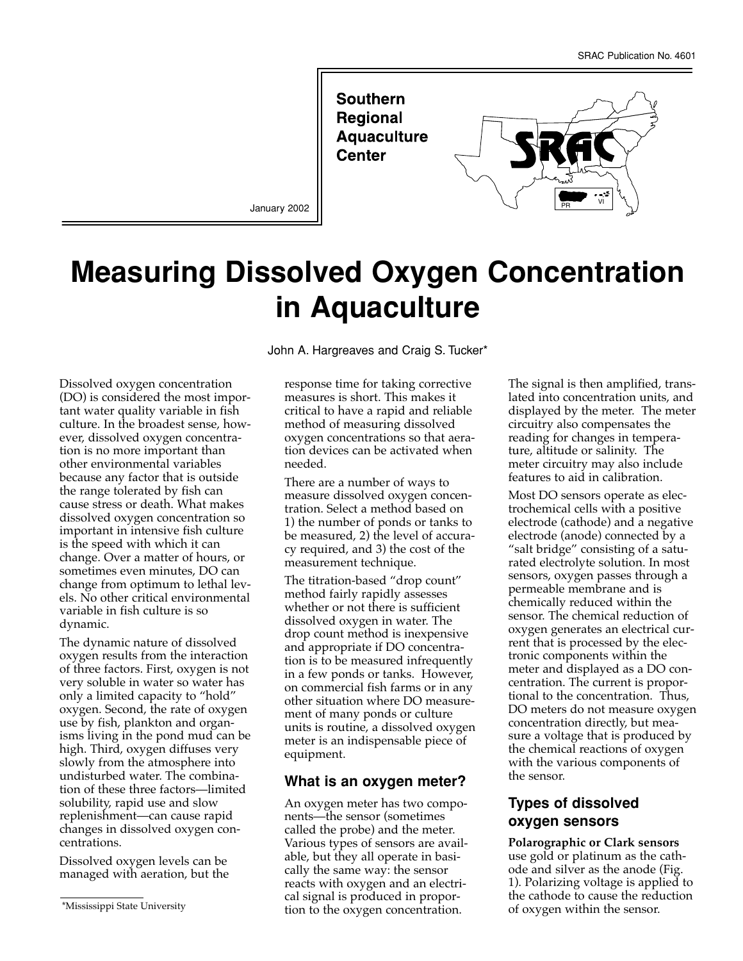

January 2002

# **Measuring Dissolved Oxygen Concentration in Aquaculture**

Dissolved oxygen concentration (DO) is considered the most important water quality variable in fish culture. In the broadest sense, however, dissolved oxygen concentration is no more important than other environmental variables because any factor that is outside the range tolerated by fish can cause stress or death. What makes dissolved oxygen concentration so important in intensive fish culture is the speed with which it can change. Over a matter of hours, or sometimes even minutes, DO can change from optimum to lethal levels. No other critical environmental variable in fish culture is so dynamic.

The dynamic nature of dissolved oxygen results from the interaction of three factors. First, oxygen is not very soluble in water so water has only a limited capacity to "hold" oxygen. Second, the rate of oxygen use by fish, plankton and organisms living in the pond mud can be high. Third, oxygen diffuses very slowly from the atmosphere into undisturbed water. The combination of these three factors—limited solubility, rapid use and slow replenishment—can cause rapid changes in dissolved oxygen concentrations.

Dissolved oxygen levels can be managed with aeration, but the John A. Hargreaves and Craig S. Tucker\*

response time for taking corrective measures is short. This makes it critical to have a rapid and reliable method of measuring dissolved oxygen concentrations so that aeration devices can be activated when needed.

There are a number of ways to measure dissolved oxygen concentration. Select a method based on 1) the number of ponds or tanks to be measured, 2) the level of accuracy required, and 3) the cost of the measurement technique.

The titration-based "drop count" method fairly rapidly assesses whether or not there is sufficient dissolved oxygen in water. The drop count method is inexpensive and appropriate if DO concentration is to be measured infrequently in a few ponds or tanks. However, on commercial fish farms or in any other situation where DO measurement of many ponds or culture units is routine, a dissolved oxygen meter is an indispensable piece of equipment.

## **What is an oxygen meter?**

An oxygen meter has two components—the sensor (sometimes called the probe) and the meter. Various types of sensors are available, but they all operate in basically the same way: the sensor reacts with oxygen and an electrical signal is produced in proportion to the oxygen concentration.

The signal is then amplified, translated into concentration units, and displayed by the meter. The meter circuitry also compensates the reading for changes in temperature, altitude or salinity. The meter circuitry may also include features to aid in calibration.

Most DO sensors operate as electrochemical cells with a positive electrode (cathode) and a negative electrode (anode) connected by a "salt bridge" consisting of a saturated electrolyte solution. In most sensors, oxygen passes through a permeable membrane and is chemically reduced within the sensor. The chemical reduction of oxygen generates an electrical current that is processed by the electronic components within the meter and displayed as a DO concentration. The current is proportional to the concentration. Thus, DO meters do not measure oxygen concentration directly, but measure a voltage that is produced by the chemical reactions of oxygen with the various components of the sensor.

# **Types of dissolved oxygen sensors**

**Polarographic or Clark sensors** use gold or platinum as the cathode and silver as the anode (Fig. 1). Polarizing voltage is applied to the cathode to cause the reduction of oxygen within the sensor.

<sup>\*</sup>Mississippi State University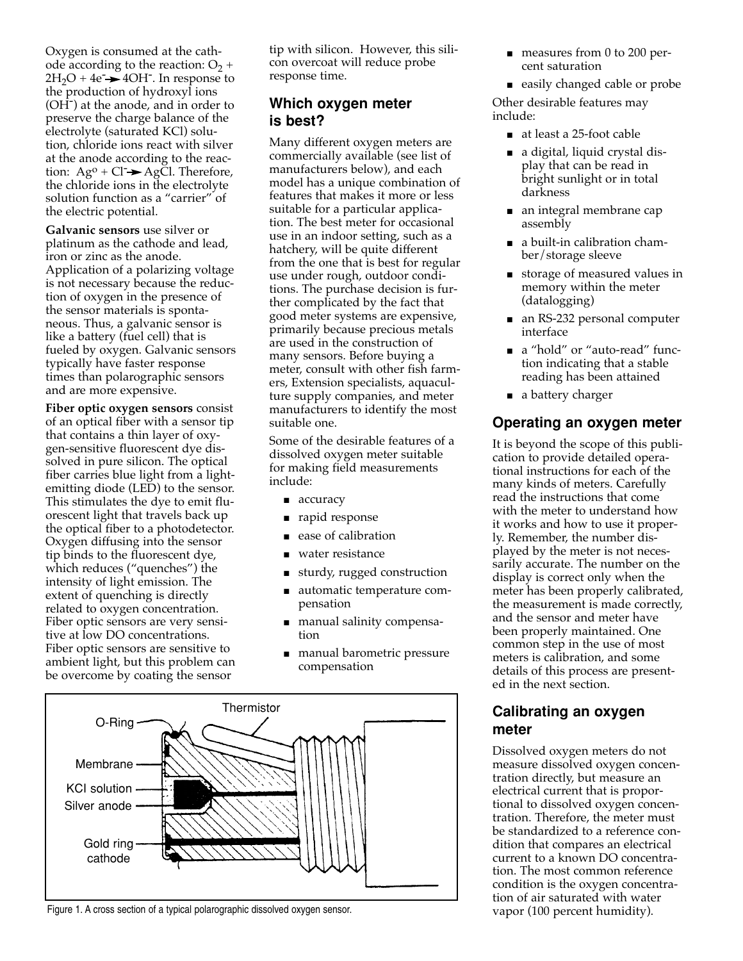Oxygen is consumed at the cathode according to the reaction:  $O_2$  +  $2H_2O + 4e^ \rightarrow$  40H<sup>-</sup>. In response to the production of hydroxyl ions (OH<sup>-</sup>) at the anode, and in order to preserve the charge balance of the electrolyte (saturated KCl) solution, chloride ions react with silver at the anode according to the reaction:  $Ag^0 + Cl \rightarrow AgCl$ . Therefore, the chloride ions in the electrolyte solution function as a "carrier" of the electric potential.

**Galvanic sensors** use silver or platinum as the cathode and lead, iron or zinc as the anode. Application of a polarizing voltage is not necessary because the reduction of oxygen in the presence of the sensor materials is spontaneous. Thus, a galvanic sensor is like a battery (fuel cell) that is fueled by oxygen. Galvanic sensors typically have faster response times than polarographic sensors and are more expensive.

**Fiber optic oxygen sensors** consist of an optical fiber with a sensor tip that contains a thin layer of oxygen-sensitive fluorescent dye dissolved in pure silicon. The optical fiber carries blue light from a lightemitting diode (LED) to the sensor. This stimulates the dye to emit fluorescent light that travels back up the optical fiber to a photodetector. Oxygen diffusing into the sensor tip binds to the fluorescent dye, which reduces ("quenches") the intensity of light emission. The extent of quenching is directly related to oxygen concentration. Fiber optic sensors are very sensitive at low DO concentrations. Fiber optic sensors are sensitive to ambient light, but this problem can be overcome by coating the sensor

tip with silicon. However, this silicon overcoat will reduce probe response time.

# **Which oxygen meter is best?**

Many different oxygen meters are commercially available (see list of manufacturers below), and each model has a unique combination of features that makes it more or less suitable for a particular application. The best meter for occasional use in an indoor setting, such as a hatchery, will be quite different from the one that is best for regular use under rough, outdoor conditions. The purchase decision is further complicated by the fact that good meter systems are expensive, primarily because precious metals are used in the construction of many sensors. Before buying a meter, consult with other fish farmers, Extension specialists, aquaculture supply companies, and meter manufacturers to identify the most suitable one.

Some of the desirable features of a dissolved oxygen meter suitable for making field measurements include:

- accuracy
- rapid response
- ease of calibration
- water resistance
- sturdy, rugged construction
- automatic temperature compensation
- manual salinity compensation
- manual barometric pressure compensation



Figure 1. A cross section of a typical polarographic dissolved oxygen sensor.

- measures from 0 to 200 percent saturation
- easily changed cable or probe

Other desirable features may include:

- at least a 25-foot cable
- a digital, liquid crystal display that can be read in bright sunlight or in total darkness
- an integral membrane cap assembly
- a built-in calibration chamber/storage sleeve
- storage of measured values in memory within the meter (datalogging)
- an RS-232 personal computer interface
- a "hold" or "auto-read" function indicating that a stable reading has been attained
- a battery charger

# **Operating an oxygen meter**

It is beyond the scope of this publication to provide detailed operational instructions for each of the many kinds of meters. Carefully read the instructions that come with the meter to understand how it works and how to use it properly. Remember, the number displayed by the meter is not necessarily accurate. The number on the display is correct only when the meter has been properly calibrated, the measurement is made correctly, and the sensor and meter have been properly maintained. One common step in the use of most meters is calibration, and some details of this process are presented in the next section.

# **Calibrating an oxygen meter**

Dissolved oxygen meters do not measure dissolved oxygen concentration directly, but measure an electrical current that is proportional to dissolved oxygen concentration. Therefore, the meter must be standardized to a reference condition that compares an electrical current to a known DO concentration. The most common reference condition is the oxygen concentration of air saturated with water vapor (100 percent humidity).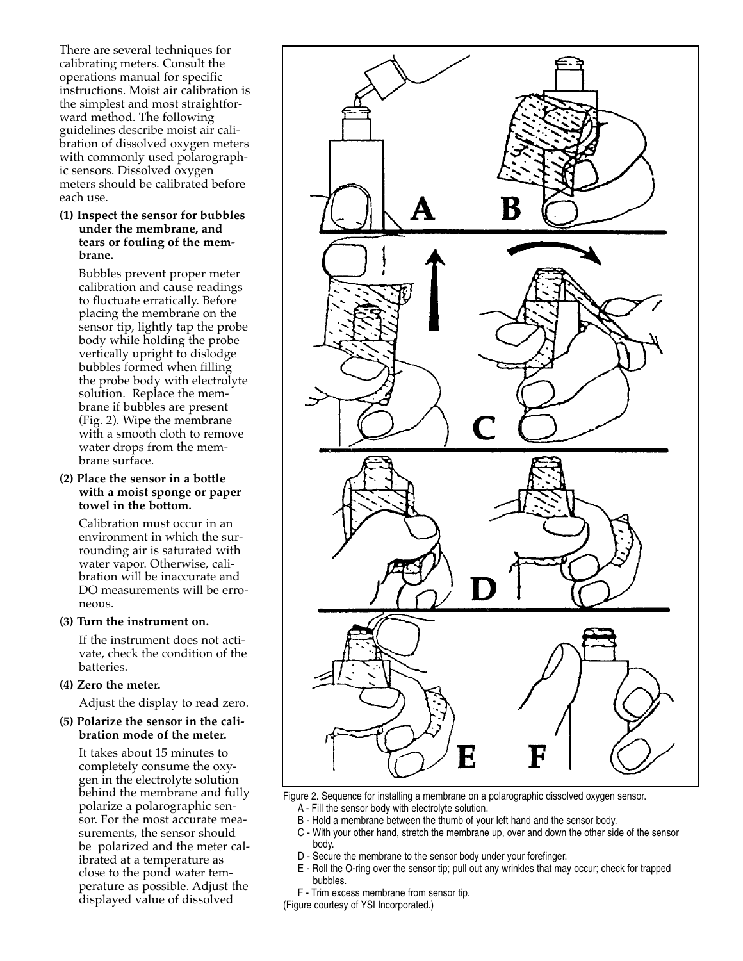There are several techniques for calibrating meters. Consult the operations manual for specific instructions. Moist air calibration is the simplest and most straightforward method. The following guidelines describe moist air calibration of dissolved oxygen meters with commonly used polarographic sensors. Dissolved oxygen meters should be calibrated before each use.

## **(1) Inspect the sensor for bubbles under the membrane, and tears or fouling of the membrane.**

Bubbles prevent proper meter calibration and cause readings to fluctuate erratically. Before placing the membrane on the sensor tip, lightly tap the probe body while holding the probe vertically upright to dislodge bubbles formed when filling the probe body with electrolyte solution. Replace the membrane if bubbles are present (Fig. 2). Wipe the membrane with a smooth cloth to remove water drops from the membrane surface.

## **(2) Place the sensor in a bottle with a moist sponge or paper towel in the bottom.**

Calibration must occur in an environment in which the surrounding air is saturated with water vapor. Otherwise, calibration will be inaccurate and DO measurements will be erroneous.

#### **(3) Turn the instrument on.**

If the instrument does not activate, check the condition of the batteries.

**(4) Zero the meter.**

Adjust the display to read zero.

## **(5) Polarize the sensor in the calibration mode of the meter.**

It takes about 15 minutes to completely consume the oxygen in the electrolyte solution behind the membrane and fully polarize a polarographic sensor. For the most accurate measurements, the sensor should be polarized and the meter calibrated at a temperature as close to the pond water temperature as possible. Adjust the displayed value of dissolved



Figure 2. Sequence for installing a membrane on a polarographic dissolved oxygen sensor.

- A Fill the sensor body with electrolyte solution.
- B Hold a membrane between the thumb of your left hand and the sensor body.
- C With your other hand, stretch the membrane up, over and down the other side of the sensor body.
- D Secure the membrane to the sensor body under your forefinger.
- E Roll the O-ring over the sensor tip; pull out any wrinkles that may occur; check for trapped bubbles.
- F Trim excess membrane from sensor tip.

(Figure courtesy of YSI Incorporated.)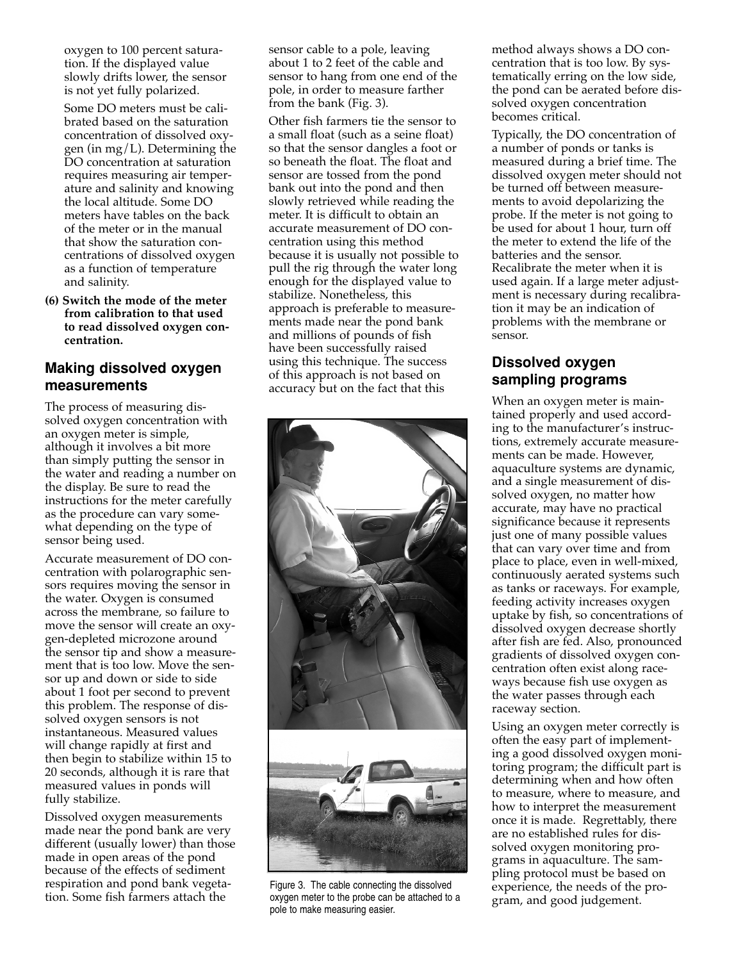oxygen to 100 percent saturation. If the displayed value slowly drifts lower, the sensor is not yet fully polarized.

Some DO meters must be calibrated based on the saturation concentration of dissolved oxygen (in mg/L). Determining the DO concentration at saturation requires measuring air temperature and salinity and knowing the local altitude. Some DO meters have tables on the back of the meter or in the manual that show the saturation concentrations of dissolved oxygen as a function of temperature and salinity.

**(6) Switch the mode of the meter from calibration to that used to read dissolved oxygen concentration.**

## **Making dissolved oxygen measurements**

The process of measuring dissolved oxygen concentration with an oxygen meter is simple, although it involves a bit more than simply putting the sensor in the water and reading a number on the display. Be sure to read the instructions for the meter carefully as the procedure can vary somewhat depending on the type of sensor being used.

Accurate measurement of DO concentration with polarographic sensors requires moving the sensor in the water. Oxygen is consumed across the membrane, so failure to move the sensor will create an oxygen-depleted microzone around the sensor tip and show a measurement that is too low. Move the sensor up and down or side to side about 1 foot per second to prevent this problem. The response of dissolved oxygen sensors is not instantaneous. Measured values will change rapidly at first and then begin to stabilize within 15 to 20 seconds, although it is rare that measured values in ponds will fully stabilize.

Dissolved oxygen measurements made near the pond bank are very different (usually lower) than those made in open areas of the pond because of the effects of sediment respiration and pond bank vegetation. Some fish farmers attach the

sensor cable to a pole, leaving about 1 to 2 feet of the cable and sensor to hang from one end of the pole, in order to measure farther from the bank (Fig. 3).

Other fish farmers tie the sensor to a small float (such as a seine float) so that the sensor dangles a foot or so beneath the float. The float and sensor are tossed from the pond bank out into the pond and then slowly retrieved while reading the meter. It is difficult to obtain an accurate measurement of DO concentration using this method because it is usually not possible to pull the rig through the water long enough for the displayed value to stabilize. Nonetheless, this approach is preferable to measurements made near the pond bank and millions of pounds of fish have been successfully raised using this technique. The success of this approach is not based on accuracy but on the fact that this



Figure 3. The cable connecting the dissolved oxygen meter to the probe can be attached to a pole to make measuring easier.

method always shows a DO concentration that is too low. By systematically erring on the low side, the pond can be aerated before dissolved oxygen concentration becomes critical.

Typically, the DO concentration of a number of ponds or tanks is measured during a brief time. The dissolved oxygen meter should not be turned off between measurements to avoid depolarizing the probe. If the meter is not going to be used for about 1 hour, turn off the meter to extend the life of the batteries and the sensor. Recalibrate the meter when it is used again. If a large meter adjustment is necessary during recalibration it may be an indication of problems with the membrane or sensor.

# **Dissolved oxygen sampling programs**

When an oxygen meter is maintained properly and used according to the manufacturer's instructions, extremely accurate measurements can be made. However, aquaculture systems are dynamic, and a single measurement of dissolved oxygen, no matter how accurate, may have no practical significance because it represents just one of many possible values that can vary over time and from place to place, even in well-mixed, continuously aerated systems such as tanks or raceways. For example, feeding activity increases oxygen uptake by fish, so concentrations of dissolved oxygen decrease shortly after fish are fed. Also, pronounced gradients of dissolved oxygen concentration often exist along raceways because fish use oxygen as the water passes through each raceway section.

Using an oxygen meter correctly is often the easy part of implementing a good dissolved oxygen monitoring program; the difficult part is determining when and how often to measure, where to measure, and how to interpret the measurement once it is made. Regrettably, there are no established rules for dissolved oxygen monitoring programs in aquaculture. The sampling protocol must be based on experience, the needs of the program, and good judgement.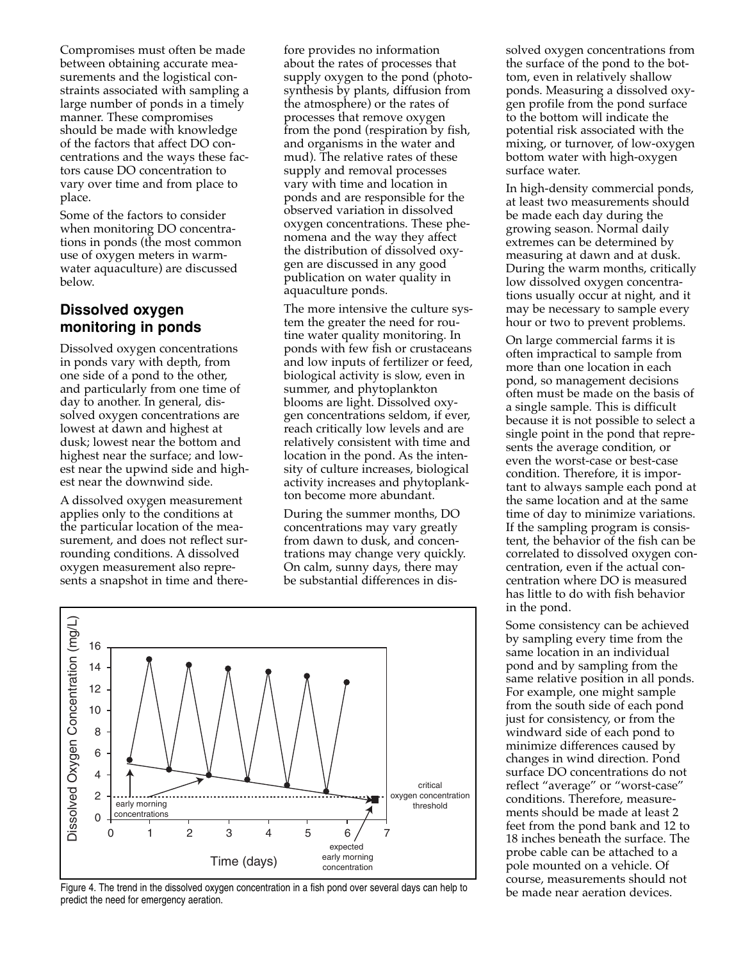Compromises must often be made between obtaining accurate measurements and the logistical constraints associated with sampling a large number of ponds in a timely manner. These compromises should be made with knowledge of the factors that affect DO concentrations and the ways these factors cause DO concentration to vary over time and from place to place.

Some of the factors to consider when monitoring DO concentrations in ponds (the most common use of oxygen meters in warmwater aquaculture) are discussed below.

## **Dissolved oxygen monitoring in ponds**

Dissolved oxygen concentrations in ponds vary with depth, from one side of a pond to the other, and particularly from one time of day to another. In general, dissolved oxygen concentrations are lowest at dawn and highest at dusk; lowest near the bottom and highest near the surface; and lowest near the upwind side and highest near the downwind side.

A dissolved oxygen measurement applies only to the conditions at the particular location of the measurement, and does not reflect surrounding conditions. A dissolved oxygen measurement also represents a snapshot in time and there-

fore provides no information about the rates of processes that supply oxygen to the pond (photosynthesis by plants, diffusion from the atmosphere) or the rates of processes that remove oxygen from the pond (respiration by fish, and organisms in the water and mud). The relative rates of these supply and removal processes vary with time and location in ponds and are responsible for the observed variation in dissolved oxygen concentrations. These phenomena and the way they affect the distribution of dissolved oxygen are discussed in any good publication on water quality in aquaculture ponds.

The more intensive the culture system the greater the need for routine water quality monitoring. In ponds with few fish or crustaceans and low inputs of fertilizer or feed, biological activity is slow, even in summer, and phytoplankton blooms are light. Dissolved oxygen concentrations seldom, if ever, reach critically low levels and are relatively consistent with time and location in the pond. As the intensity of culture increases, biological activity increases and phytoplankton become more abundant.

During the summer months, DO concentrations may vary greatly from dawn to dusk, and concentrations may change very quickly. On calm, sunny days, there may be substantial differences in dis-



Figure 4. The trend in the dissolved oxygen concentration in a fish pond over several days can help to predict the need for emergency aeration.

solved oxygen concentrations from the surface of the pond to the bottom, even in relatively shallow ponds. Measuring a dissolved oxygen profile from the pond surface to the bottom will indicate the potential risk associated with the mixing, or turnover, of low-oxygen bottom water with high-oxygen surface water.

In high-density commercial ponds, at least two measurements should be made each day during the growing season. Normal daily extremes can be determined by measuring at dawn and at dusk. During the warm months, critically low dissolved oxygen concentrations usually occur at night, and it may be necessary to sample every hour or two to prevent problems.

On large commercial farms it is often impractical to sample from more than one location in each pond, so management decisions often must be made on the basis of a single sample. This is difficult because it is not possible to select a single point in the pond that represents the average condition, or even the worst-case or best-case condition. Therefore, it is important to always sample each pond at the same location and at the same time of day to minimize variations. If the sampling program is consistent, the behavior of the fish can be correlated to dissolved oxygen concentration, even if the actual concentration where DO is measured has little to do with fish behavior in the pond.

Some consistency can be achieved by sampling every time from the same location in an individual pond and by sampling from the same relative position in all ponds. For example, one might sample from the south side of each pond just for consistency, or from the windward side of each pond to minimize differences caused by changes in wind direction. Pond surface DO concentrations do not reflect "average" or "worst-case" conditions. Therefore, measurements should be made at least 2 feet from the pond bank and 12 to 18 inches beneath the surface. The probe cable can be attached to a pole mounted on a vehicle. Of course, measurements should not be made near aeration devices.